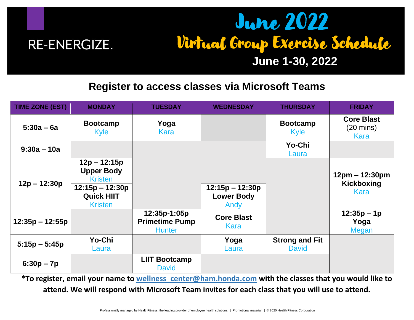

## June 2022 Virtual Group Exercise Schedule

## **June 1-30, 2022**

## **Register to access classes via Microsoft Teams**

| <b>TIME ZONE (EST)</b> | <b>MONDAY</b>                                            | <b>TUESDAY</b>                                         | <b>WEDNESDAY</b>                               | <b>THURSDAY</b>                       | <b>FRIDAY</b>                                    |
|------------------------|----------------------------------------------------------|--------------------------------------------------------|------------------------------------------------|---------------------------------------|--------------------------------------------------|
| $5:30a - 6a$           | <b>Bootcamp</b><br>Kyle                                  | Yoga<br>Kara                                           |                                                | <b>Bootcamp</b><br><b>Kyle</b>        | <b>Core Blast</b><br>$(20 \text{ mins})$<br>Kara |
| $9:30a - 10a$          |                                                          |                                                        |                                                | Yo-Chi<br>Laura                       |                                                  |
| $12p - 12:30p$         | $12p - 12:15p$<br><b>Upper Body</b><br><b>Kristen</b>    |                                                        |                                                |                                       | $12pm - 12:30pm$<br>Kickboxing<br>Kara           |
|                        | $12:15p - 12:30p$<br><b>Quick HIIT</b><br><b>Kristen</b> |                                                        | $12:15p - 12:30p$<br><b>Lower Body</b><br>Andy |                                       |                                                  |
| $12:35p - 12:55p$      |                                                          | 12:35p-1:05p<br><b>Primetime Pump</b><br><b>Hunter</b> | <b>Core Blast</b><br>Kara                      |                                       | $12:35p - 1p$<br>Yoga<br>Megan                   |
| $5:15p - 5:45p$        | Yo-Chi<br>Laura                                          |                                                        | Yoga<br>Laura                                  | <b>Strong and Fit</b><br><b>David</b> |                                                  |
| $6:30p - 7p$           |                                                          | <b>LIIT Bootcamp</b><br><b>David</b>                   |                                                |                                       |                                                  |

**\*To register, email your name to [wellness\\_center@ham.honda.com](mailto:wellness_center@ham.honda.com) with the classes that you would like to attend. We will respond with Microsoft Team invites for each class that you will use to attend.**